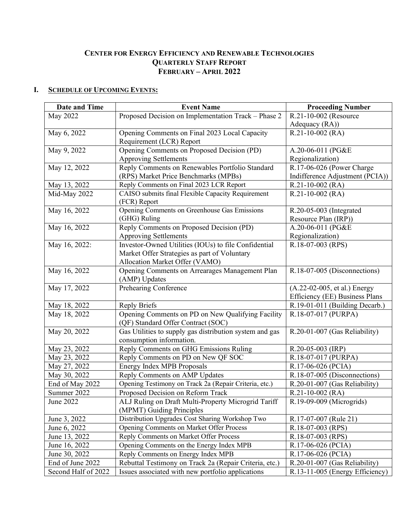# **CENTER FOR ENERGY EFFICIENCY AND RENEWABLE TECHNOLOGIES QUARTERLY STAFF REPORT FEBRUARY – APRIL 2022**

# **I. SCHEDULE OF UPCOMING EVENTS:**

| Date and Time       | <b>Event Name</b>                                       | <b>Proceeding Number</b>        |
|---------------------|---------------------------------------------------------|---------------------------------|
| May 2022            | Proposed Decision on Implementation Track - Phase 2     | R.21-10-002 (Resource           |
|                     |                                                         | Adequacy (RA))                  |
| May 6, 2022         | Opening Comments on Final 2023 Local Capacity           | $R.21-10-002$ (RA)              |
|                     | Requirement (LCR) Report                                |                                 |
| May 9, 2022         | Opening Comments on Proposed Decision (PD)              | A.20-06-011 (PG&E               |
|                     | <b>Approving Settlements</b>                            | Regionalization)                |
| May 12, 2022        | Reply Comments on Renewables Portfolio Standard         | R.17-06-026 (Power Charge       |
|                     | (RPS) Market Price Benchmarks (MPBs)                    | Indifference Adjustment (PCIA)) |
| May 13, 2022        | Reply Comments on Final 2023 LCR Report                 | $R.21-10-002$ (RA)              |
| Mid-May 2022        | CAISO submits final Flexible Capacity Requirement       | $R.21-10-002$ (RA)              |
|                     | (FCR) Report                                            |                                 |
| May 16, 2022        | Opening Comments on Greenhouse Gas Emissions            | R.20-05-003 (Integrated         |
|                     | (GHG) Ruling                                            | Resource Plan (IRP))            |
| May 16, 2022        | Reply Comments on Proposed Decision (PD)                | A.20-06-011 (PG&E               |
|                     | <b>Approving Settlements</b>                            | Regionalization)                |
| May 16, 2022:       | Investor-Owned Utilities (IOUs) to file Confidential    | R.18-07-003 (RPS)               |
|                     | Market Offer Strategies as part of Voluntary            |                                 |
|                     | Allocation Market Offer (VAMO)                          |                                 |
| May 16, 2022        | Opening Comments on Arrearages Management Plan          | R.18-07-005 (Disconnections)    |
|                     | (AMP) Updates                                           |                                 |
| May 17, 2022        | Prehearing Conference                                   | (A.22-02-005, et al.) Energy    |
|                     |                                                         | Efficiency (EE) Business Plans  |
| May 18, 2022        | <b>Reply Briefs</b>                                     | R.19-01-011 (Building Decarb.)  |
| May 18, 2022        | Opening Comments on PD on New Qualifying Facility       | R.18-07-017 (PURPA)             |
|                     | (QF) Standard Offer Contract (SOC)                      |                                 |
| May 20, 2022        | Gas Utilities to supply gas distribution system and gas | R.20-01-007 (Gas Reliability)   |
|                     | consumption information.                                |                                 |
| May 23, 2022        | Reply Comments on GHG Emissions Ruling                  | R.20-05-003 (IRP)               |
| May 23, 2022        | Reply Comments on PD on New QF SOC                      | R.18-07-017 (PURPA)             |
| May 27, 2022        | <b>Energy Index MPB Proposals</b>                       | R.17-06-026 (PCIA)              |
| May 30, 2022        | Reply Comments on AMP Updates                           | R.18-07-005 (Disconnections)    |
| End of May 2022     | Opening Testimony on Track 2a (Repair Criteria, etc.)   | R.20-01-007 (Gas Reliability)   |
| Summer 2022         | Proposed Decision on Reform Track                       | $R.21-10-002$ (RA)              |
| June 2022           | ALJ Ruling on Draft Multi-Property Microgrid Tariff     | R.19-09-009 (Microgrids)        |
|                     | (MPMT) Guiding Principles                               |                                 |
| June 3, 2022        | Distribution Upgrades Cost Sharing Workshop Two         | R.17-07-007 (Rule 21)           |
| June 6, 2022        | <b>Opening Comments on Market Offer Process</b>         | R.18-07-003 (RPS)               |
| June 13, 2022       | Reply Comments on Market Offer Process                  | R.18-07-003 (RPS)               |
| June 16, 2022       | Opening Comments on the Energy Index MPB                | R.17-06-026 (PCIA)              |
| June 30, 2022       | Reply Comments on Energy Index MPB                      | R.17-06-026 (PCIA)              |
| End of June 2022    | Rebuttal Testimony on Track 2a (Repair Criteria, etc.)  | R.20-01-007 (Gas Reliability)   |
| Second Half of 2022 | Issues associated with new portfolio applications       | R.13-11-005 (Energy Efficiency) |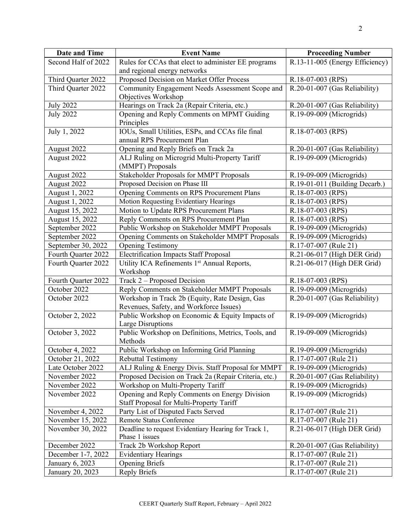| <b>Date and Time</b> | <b>Event Name</b>                                                                         | <b>Proceeding Number</b>        |
|----------------------|-------------------------------------------------------------------------------------------|---------------------------------|
| Second Half of 2022  | Rules for CCAs that elect to administer EE programs                                       | R.13-11-005 (Energy Efficiency) |
|                      | and regional energy networks                                                              |                                 |
| Third Quarter 2022   | Proposed Decision on Market Offer Process                                                 | R.18-07-003 (RPS)               |
| Third Ouarter 2022   | Community Engagement Needs Assessment Scope and<br>Objectives Workshop                    | R.20-01-007 (Gas Reliability)   |
| <b>July 2022</b>     | Hearings on Track 2a (Repair Criteria, etc.)                                              | R.20-01-007 (Gas Reliability)   |
| <b>July 2022</b>     | Opening and Reply Comments on MPMT Guiding<br>Principles                                  | R.19-09-009 (Microgrids)        |
| July 1, 2022         | IOUs, Small Utilities, ESPs, and CCAs file final<br>annual RPS Procurement Plan           | R.18-07-003 (RPS)               |
| August 2022          | Opening and Reply Briefs on Track 2a                                                      | R.20-01-007 (Gas Reliability)   |
| August 2022          | ALJ Ruling on Microgrid Multi-Property Tariff                                             | R.19-09-009 (Microgrids)        |
|                      | (MMPT) Proposals                                                                          |                                 |
| August 2022          | Stakeholder Proposals for MMPT Proposals                                                  | R.19-09-009 (Microgrids)        |
| August 2022          | Proposed Decision on Phase III                                                            | R.19-01-011 (Building Decarb.)  |
| August 1, 2022       | Opening Comments on RPS Procurement Plans                                                 | R.18-07-003 (RPS)               |
| August 1, 2022       | Motion Requesting Evidentiary Hearings                                                    | R.18-07-003 (RPS)               |
| August 15, 2022      | Motion to Update RPS Procurement Plans                                                    | R.18-07-003 (RPS)               |
| August 15, 2022      | Reply Comments on RPS Procurement Plan                                                    | R.18-07-003 (RPS)               |
| September 2022       | Public Workshop on Stakeholder MMPT Proposals                                             | R.19-09-009 (Microgrids)        |
| September 2022       | Opening Comments on Stakeholder MMPT Proposals                                            | R.19-09-009 (Microgrids)        |
| September 30, 2022   | <b>Opening Testimony</b>                                                                  | R.17-07-007 (Rule 21)           |
| Fourth Quarter 2022  | <b>Electrification Impacts Staff Proposal</b>                                             | R.21-06-017 (High DER Grid)     |
| Fourth Quarter 2022  | Utility ICA Refinements 1 <sup>st</sup> Annual Reports,<br>Workshop                       | R.21-06-017 (High DER Grid)     |
| Fourth Quarter 2022  | Track 2 – Proposed Decision                                                               | R.18-07-003 (RPS)               |
| October 2022         | Reply Comments on Stakeholder MMPT Proposals                                              | R.19-09-009 (Microgrids)        |
| October 2022         | Workshop in Track 2b (Equity, Rate Design, Gas<br>Revenues, Safety, and Workforce Issues) | R.20-01-007 (Gas Reliability)   |
| October 2, 2022      | Public Workshop on Economic & Equity Impacts of<br>Large Disruptions                      | R.19-09-009 (Microgrids)        |
| October 3, 2022      | Public Workshop on Definitions, Metrics, Tools, and<br>Methods                            | R.19-09-009 (Microgrids)        |
| October 4, 2022      | Public Workshop on Informing Grid Planning                                                | R.19-09-009 (Microgrids)        |
| October 21, 2022     | <b>Rebuttal Testimony</b>                                                                 | R.17-07-007 (Rule 21)           |
| Late October 2022    | ALJ Ruling & Energy Divis. Staff Proposal for MMPT                                        | R.19-09-009 (Microgrids)        |
| November 2022        | Proposed Decision on Track 2a (Repair Criteria, etc.)                                     | R.20-01-007 (Gas Reliability)   |
| November 2022        | Workshop on Multi-Property Tariff                                                         | R.19-09-009 (Microgrids)        |
| November 2022        | Opening and Reply Comments on Energy Division<br>Staff Proposal for Multi-Property Tariff | R.19-09-009 (Microgrids)        |
| November 4, 2022     | Party List of Disputed Facts Served                                                       | R.17-07-007 (Rule 21)           |
| November 15, 2022    | Remote Status Conference                                                                  | R.17-07-007 (Rule 21)           |
| November 30, 2022    | Deadline to request Evidentiary Hearing for Track 1,<br>Phase 1 issues                    | R.21-06-017 (High DER Grid)     |
| December 2022        | Track 2b Workshop Report                                                                  | R.20-01-007 (Gas Reliability)   |
| December 1-7, 2022   | <b>Evidentiary Hearings</b>                                                               | R.17-07-007 (Rule 21)           |
| January 6, 2023      | <b>Opening Briefs</b>                                                                     | R.17-07-007 (Rule 21)           |
| January 20, 2023     | <b>Reply Briefs</b>                                                                       | R.17-07-007 (Rule 21)           |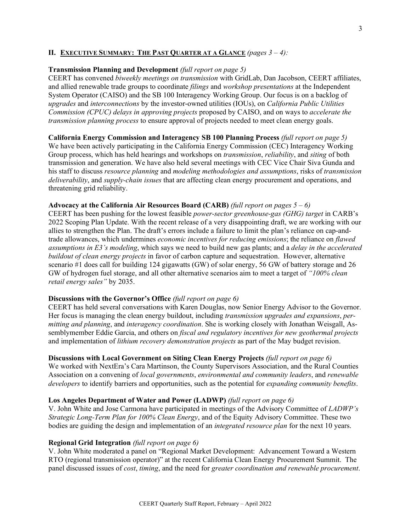## **II. EXECUTIVE SUMMARY: THE PAST QUARTER AT A GLANCE** *(pages 3 – 4):*

### **Transmission Planning and Development** *(full report on page 5)*

CEERT has convened *biweekly meetings on transmission* with GridLab, Dan Jacobson, CEERT affiliates, and allied renewable trade groups to coordinate *filings* and *workshop presentations* at the Independent System Operator (CAISO) and the SB 100 Interagency Working Group. Our focus is on a backlog of *upgrades* and *interconnections* by the investor-owned utilities (IOUs), on *California Public Utilities Commission (CPUC) delays in approving projects* proposed by CAISO, and on ways to *accelerate the transmission planning process* to ensure approval of projects needed to meet clean energy goals.

# **California Energy Commission and Interagency SB 100 Planning Process** *(full report on page 5)* We have been actively participating in the California Energy Commission (CEC) Interagency Working Group process, which has held hearings and workshops on *transmission*, *reliability*, and *siting* of both transmission and generation. We have also held several meetings with CEC Vice Chair Siva Gunda and his staff to discuss *resource planning* and *modeling methodologies and assumptions*, risks of *transmission deliverability*, and *supply-chain issues* that are affecting clean energy procurement and operations, and threatening grid reliability.

## **Advocacy at the California Air Resources Board (CARB)** *(full report on pages 5 – 6)*

CEERT has been pushing for the lowest feasible *power-sector greenhouse-gas (GHG) target* in CARB's 2022 Scoping Plan Update. With the recent release of a very disappointing draft, we are working with our allies to strengthen the Plan. The draft's errors include a failure to limit the plan's reliance on cap-andtrade allowances, which undermines *economic incentives for reducing emissions*; the reliance on *flawed assumptions in E3's modeling*, which says we need to build new gas plants; and a *delay in the accelerated buildout of clean energy projects* in favor of carbon capture and sequestration. However, alternative scenario #1 does call for building 124 gigawatts (GW) of solar energy, 56 GW of battery storage and 26 GW of hydrogen fuel storage, and all other alternative scenarios aim to meet a target of *"100% clean retail energy sales"* by 2035.

## **Discussions with the Governor's Office** *(full report on page 6)*

CEERT has held several conversations with Karen Douglas, now Senior Energy Advisor to the Governor. Her focus is managing the clean energy buildout, including *transmission upgrades and expansions*, *permitting and planning*, and *interagency coordination*. She is working closely with Jonathan Weisgall, Assemblymember Eddie Garcia, and others on *fiscal and regulatory incentives for new geothermal projects* and implementation of *lithium recovery demonstration projects* as part of the May budget revision.

# **Discussions with Local Government on Siting Clean Energy Projects** *(full report on page 6)*

We worked with NextEra's Cara Martinson, the County Supervisors Association, and the Rural Counties Association on a convening of *local governments*, *environmental and community leaders*, and *renewable developers* to identify barriers and opportunities, such as the potential for *expanding community benefits*.

#### **Los Angeles Department of Water and Power (LADWP)** *(full report on page 6)*

V. John White and Jose Carmona have participated in meetings of the Advisory Committee of *LADWP's Strategic Long-Term Plan for 100% Clean Energy*, and of the Equity Advisory Committee. These two bodies are guiding the design and implementation of an *integrated resource plan* for the next 10 years.

#### **Regional Grid Integration** *(full report on page 6)*

V. John White moderated a panel on "Regional Market Development: Advancement Toward a Western RTO (regional transmission operator)" at the recent California Clean Energy Procurement Summit. The panel discussed issues of *cost*, *timing*, and the need for *greater coordination and renewable procurement*.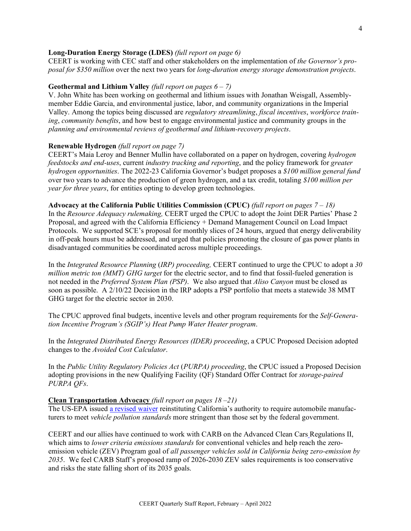#### **Long-Duration Energy Storage (LDES)** *(full report on page 6)*

CEERT is working with CEC staff and other stakeholders on the implementation of *the Governor's proposal for \$350 million* over the next two years for *long-duration energy storage demonstration projects*.

#### **Geothermal and Lithium Valley** *(full report on pages 6 – 7)*

V. John White has been working on geothermal and lithium issues with Jonathan Weisgall, Assemblymember Eddie Garcia, and environmental justice, labor, and community organizations in the Imperial Valley. Among the topics being discussed are *regulatory streamlining*, *fiscal incentives*, *workforce training*, *community benefits*, and how best to engage environmental justice and community groups in the *planning and environmental reviews of geothermal and lithium-recovery projects*.

### **Renewable Hydrogen** *(full report on page 7)*

CEERT's Maia Leroy and Benner Mullin have collaborated on a paper on hydrogen, covering *hydrogen feedstocks and end-uses*, current *industry tracking and reporting*, and the policy framework for *greater hydrogen opportunities*. The 2022-23 California Governor's budget proposes a *\$100 million general fund* over two years to advance the production of green hydrogen, and a tax credit, totaling *\$100 million per year for three years*, for entities opting to develop green technologies.

**Advocacy at the California Public Utilities Commission (CPUC)** *(full report on pages 7 – 18)*  In the *Resource Adequacy rulemaking,* CEERT urged the CPUC to adopt the Joint DER Parties' Phase 2

Proposal, and agreed with the California Efficiency + Demand Management Council on Load Impact Protocols. We supported SCE's proposal for monthly slices of 24 hours, argued that energy deliverability in off-peak hours must be addressed, and urged that policies promoting the closure of gas power plants in disadvantaged communities be coordinated across multiple proceedings.

In the *Integrated Resource Planning* (*IRP) proceeding,* CEERT continued to urge the CPUC to adopt a *30 million metric ton (MMT) GHG target* for the electric sector, and to find that fossil-fueled generation is not needed in the *Preferred System Plan (PSP)*. We also argued that *Aliso Canyon* must be closed as soon as possible. A 2/10/22 Decision in the IRP adopts a PSP portfolio that meets a statewide 38 MMT GHG target for the electric sector in 2030.

The CPUC approved final budgets, incentive levels and other program requirements for the *Self-Generation Incentive Program's (SGIP's) Heat Pump Water Heater program*.

In the *Integrated Distributed Energy Resources (IDER) proceeding*, a CPUC Proposed Decision adopted changes to the *Avoided Cost Calculator*.

In the *Public Utility Regulatory Policies Act* (*PURPA) proceeding*, the CPUC issued a Proposed Decision adopting provisions in the new Qualifying Facility (QF) Standard Offer Contract for *storage-paired PURPA QFs*.

#### **Clean Transportation Advocacy** *(full report on pages 18 –21)*

The US-EPA issued [a revised waiver](https://www.federalregister.gov/documents/2022/03/14/2022-05227/california-state-motor-vehicle-pollution-control-standards-advanced-clean-car-program) reinstituting California's authority to require automobile manufacturers to meet *vehicle pollution standards* more stringent than those set by the federal government.

CEERT and our allies have continued to work with CARB on the [Advanced Clean Cars](https://ww2.arb.ca.gov/advanced-clean-cars-ii-meetings-workshops) Regulations II, which aims to *lower criteria emissions standards* for conventional vehicles and help reach the zeroemission vehicle (ZEV) Program goal of *all passenger vehicles sold in California being zero-emission by 2035*. We feel CARB Staff's proposed ramp of 2026-2030 ZEV sales requirements is too conservative and risks the state falling short of its 2035 goals.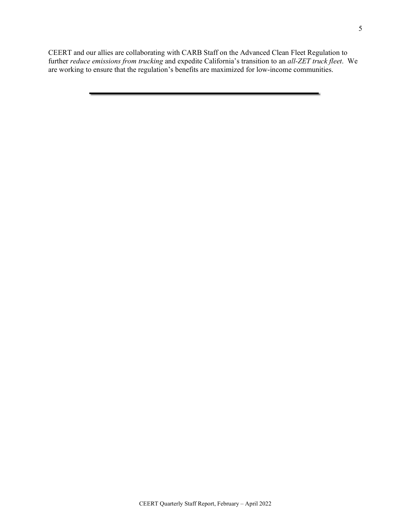CEERT and our allies are collaborating with CARB Staff on th[e Advanced Clean Fleet Regulation t](https://ww2.arb.ca.gov/our-work/programs/advanced-clean-fleets)o further *reduce emissions from trucking* and expedite California's transition to an *all-ZET truck fleet*. We are working to ensure that the regulation's benefits are maximized for low-income communities.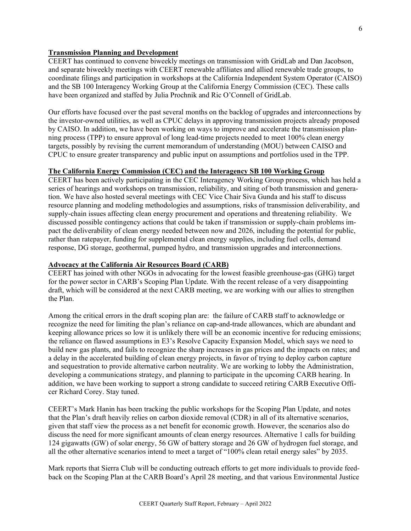### **Transmission Planning and Development**

CEERT has continued to convene biweekly meetings on transmission with GridLab and Dan Jacobson, and separate biweekly meetings with CEERT renewable affiliates and allied renewable trade groups, to coordinate filings and participation in workshops at the California Independent System Operator (CAISO) and the SB 100 Interagency Working Group at the California Energy Commission (CEC). These calls have been organized and staffed by Julia Prochnik and Ric O'Connell of GridLab.

Our efforts have focused over the past several months on the backlog of upgrades and interconnections by the investor-owned utilities, as well as CPUC delays in approving transmission projects already proposed by CAISO. In addition, we have been working on ways to improve and accelerate the transmission planning process (TPP) to ensure approval of long lead-time projects needed to meet 100% clean energy targets, possibly by revising the current memorandum of understanding (MOU) between CAISO and CPUC to ensure greater transparency and public input on assumptions and portfolios used in the TPP.

## **The California Energy Commission (CEC) and the Interagency SB 100 Working Group**

CEERT has been actively participating in the CEC Interagency Working Group process, which has held a series of hearings and workshops on transmission, reliability, and siting of both transmission and generation. We have also hosted several meetings with CEC Vice Chair Siva Gunda and his staff to discuss resource planning and modeling methodologies and assumptions, risks of transmission deliverability, and supply-chain issues affecting clean energy procurement and operations and threatening reliability. We discussed possible contingency actions that could be taken if transmission or supply-chain problems impact the deliverability of clean energy needed between now and 2026, including the potential for public, rather than ratepayer, funding for supplemental clean energy supplies, including fuel cells, demand response, DG storage, geothermal, pumped hydro, and transmission upgrades and interconnections.

#### **Advocacy at the California Air Resources Board (CARB)**

CEERT has joined with other NGOs in advocating for the lowest feasible greenhouse-gas (GHG) target for the power sector in CARB's Scoping Plan Update. With the recent release of a very disappointing draft, which will be considered at the next CARB meeting, we are working with our allies to strengthen the Plan.

Among the critical errors in the draft scoping plan are: the failure of CARB staff to acknowledge or recognize the need for limiting the plan's reliance on cap-and-trade allowances, which are abundant and keeping allowance prices so low it is unlikely there will be an economic incentive for reducing emissions; the reliance on flawed assumptions in E3's Resolve Capacity Expansion Model, which says we need to build new gas plants, and fails to recognize the sharp increases in gas prices and the impacts on rates; and a delay in the accelerated building of clean energy projects, in favor of trying to deploy carbon capture and sequestration to provide alternative carbon neutrality. We are working to lobby the Administration, developing a communications strategy, and planning to participate in the upcoming CARB hearing. In addition, we have been working to support a strong candidate to succeed retiring CARB Executive Officer Richard Corey. Stay tuned.

CEERT's Mark Hanin has been tracking the public workshops for the Scoping Plan Update, and notes that the Plan's draft heavily relies on carbon dioxide removal (CDR) in all of its alternative scenarios, given that staff view the process as a net benefit for economic growth. However, the scenarios also do discuss the need for more significant amounts of clean energy resources. Alternative 1 calls for building 124 gigawatts (GW) of solar energy, 56 GW of battery storage and 26 GW of hydrogen fuel storage, and all the other alternative scenarios intend to meet a target of "100% clean retail energy sales" by 2035.

Mark reports that Sierra Club will be conducting outreach efforts to get more individuals to provide feedback on the Scoping Plan at the CARB Board's April 28 meeting, and that various Environmental Justice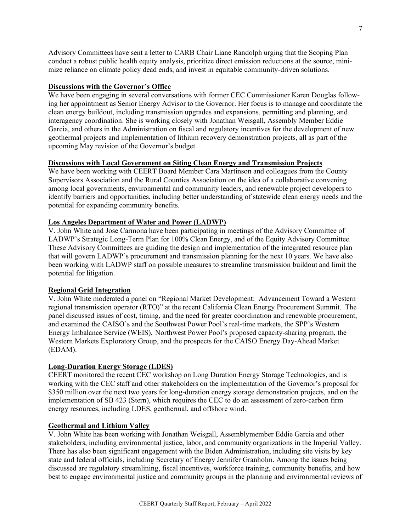Advisory Committees have sent a letter to CARB Chair Liane Randolph urging that the Scoping Plan conduct a robust public health equity analysis, prioritize direct emission reductions at the source, minimize reliance on climate policy dead ends, and invest in equitable community-driven solutions.

### **Discussions with the Governor's Office**

We have been engaging in several conversations with former CEC Commissioner Karen Douglas following her appointment as Senior Energy Advisor to the Governor. Her focus is to manage and coordinate the clean energy buildout, including transmission upgrades and expansions, permitting and planning, and interagency coordination. She is working closely with Jonathan Weisgall, Assembly Member Eddie Garcia, and others in the Administration on fiscal and regulatory incentives for the development of new geothermal projects and implementation of lithium recovery demonstration projects, all as part of the upcoming May revision of the Governor's budget.

# **Discussions with Local Government on Siting Clean Energy and Transmission Projects**

We have been working with CEERT Board Member Cara Martinson and colleagues from the County Supervisors Association and the Rural Counties Association on the idea of a collaborative convening among local governments, environmental and community leaders, and renewable project developers to identify barriers and opportunities, including better understanding of statewide clean energy needs and the potential for expanding community benefits.

# **Los Angeles Department of Water and Power (LADWP)**

V. John White and Jose Carmona have been participating in meetings of the Advisory Committee of LADWP's Strategic Long-Term Plan for 100% Clean Energy, and of the Equity Advisory Committee. These Advisory Committees are guiding the design and implementation of the integrated resource plan that will govern LADWP's procurement and transmission planning for the next 10 years. We have also been working with LADWP staff on possible measures to streamline transmission buildout and limit the potential for litigation.

# **Regional Grid Integration**

V. John White moderated a panel on "Regional Market Development: Advancement Toward a Western regional transmission operator (RTO)" at the recent California Clean Energy Procurement Summit. The panel discussed issues of cost, timing, and the need for greater coordination and renewable procurement, and examined the CAISO's and the Southwest Power Pool's real-time markets, the SPP's Western Energy Imbalance Service (WEIS), Northwest Power Pool's proposed capacity-sharing program, the Western Markets Exploratory Group, and the prospects for the CAISO Energy Day-Ahead Market (EDAM).

# **Long-Duration Energy Storage (LDES)**

CEERT monitored the recent CEC workshop on Long Duration Energy Storage Technologies, and is working with the CEC staff and other stakeholders on the implementation of the Governor's proposal for \$350 million over the next two years for long-duration energy storage demonstration projects, and on the implementation of SB 423 (Stern), which requires the CEC to do an assessment of zero-carbon firm energy resources, including LDES, geothermal, and offshore wind.

#### **Geothermal and Lithium Valley**

V. John White has been working with Jonathan Weisgall, Assemblymember Eddie Garcia and other stakeholders, including environmental justice, labor, and community organizations in the Imperial Valley. There has also been significant engagement with the Biden Administration, including site visits by key state and federal officials, including Secretary of Energy Jennifer Granholm. Among the issues being discussed are regulatory streamlining, fiscal incentives, workforce training, community benefits, and how best to engage environmental justice and community groups in the planning and environmental reviews of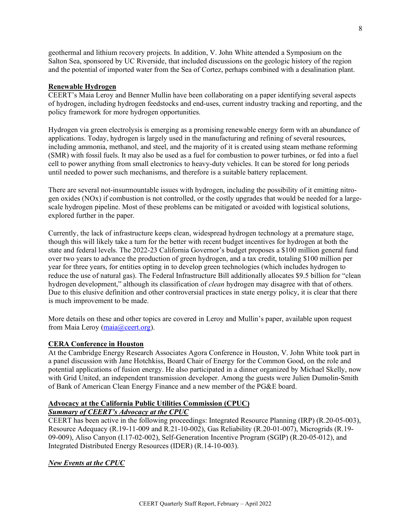geothermal and lithium recovery projects. In addition, V. John White attended a Symposium on the Salton Sea, sponsored by UC Riverside, that included discussions on the geologic history of the region and the potential of imported water from the Sea of Cortez, perhaps combined with a desalination plant.

### **Renewable Hydrogen**

CEERT's Maia Leroy and Benner Mullin have been collaborating on a paper identifying several aspects of hydrogen, including hydrogen feedstocks and end-uses, current industry tracking and reporting, and the policy framework for more hydrogen opportunities.

Hydrogen via green electrolysis is emerging as a promising renewable energy form with an abundance of applications. Today, hydrogen is largely used in the manufacturing and refining of several resources, including ammonia, methanol, and steel, and the majority of it is created using steam methane reforming (SMR) with fossil fuels. It may also be used as a fuel for combustion to power turbines, or fed into a fuel cell to power anything from small electronics to heavy-duty vehicles. It can be stored for long periods until needed to power such mechanisms, and therefore is a suitable battery replacement.

There are several not-insurmountable issues with hydrogen, including the possibility of it emitting nitrogen oxides (NOx) if combustion is not controlled, or the costly upgrades that would be needed for a largescale hydrogen pipeline. Most of these problems can be mitigated or avoided with logistical solutions, explored further in the paper.

Currently, the lack of infrastructure keeps clean, widespread hydrogen technology at a premature stage, though this will likely take a turn for the better with recent budget incentives for hydrogen at both the state and federal levels. The 2022-23 California Governor's budget proposes a \$100 million general fund over two years to advance the production of green hydrogen, and a tax credit, totaling \$100 million per year for three years, for entities opting in to develop green technologies (which includes hydrogen to reduce the use of natural gas). The Federal Infrastructure Bill additionally allocates \$9.5 billion for "clean hydrogen development," although its classification of *clean* hydrogen may disagree with that of others. Due to this elusive definition and other controversial practices in state energy policy, it is clear that there is much improvement to be made.

More details on these and other topics are covered in Leroy and Mullin's paper, available upon request from Maia Leroy [\(maia@ceert.org\)](mailto:maia@ceert.org).

#### **CERA Conference in Houston**

At the Cambridge Energy Research Associates Agora Conference in Houston, V. John White took part in a panel discussion with Jane Hotchkiss, Board Chair of Energy for the Common Good, on the role and potential applications of fusion energy. He also participated in a dinner organized by Michael Skelly, now with Grid United, an independent transmission developer. Among the guests were Julien Dumolin-Smith of Bank of American Clean Energy Finance and a new member of the PG&E board.

#### **Advocacy at the California Public Utilities Commission (CPUC)** *Summary of CEERT's Advocacy at the CPUC*

CEERT has been active in the following proceedings: Integrated Resource Planning (IRP) (R.20-05-003), Resource Adequacy (R.19-11-009 and R.21-10-002), Gas Reliability (R.20-01-007), Microgrids (R.19- 09-009), Aliso Canyon (I.17-02-002), Self-Generation Incentive Program (SGIP) (R.20-05-012), and Integrated Distributed Energy Resources (IDER) (R.14-10-003).

# *New Events at the CPUC*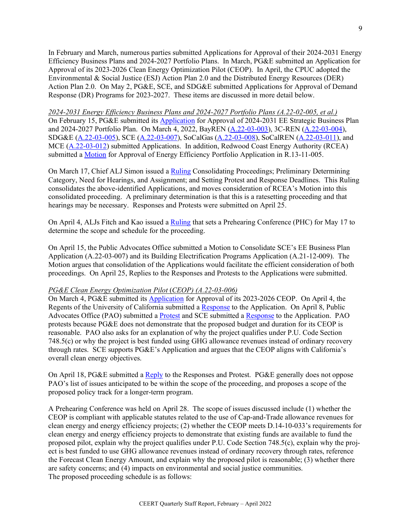In February and March, numerous parties submitted Applications for Approval of their 2024-2031 Energy Efficiency Business Plans and 2024-2027 Portfolio Plans. In March, PG&E submitted an Application for Approval of its 2023-2026 Clean Energy Optimization Pilot (CEOP). In April, the CPUC adopted the Environmental & Social Justice (ESJ) Action Plan 2.0 and the Distributed Energy Resources (DER) Action Plan 2.0. On May 2, PG&E, SCE, and SDG&E submitted Applications for Approval of Demand Response (DR) Programs for 2023-2027. These items are discussed in more detail below.

*2024-2031 Energy Efficiency Business Plans and 2024-2027 Portfolio Plans (A.22-02-005, et al.)* On February 15, PG&E submitted its **Application** for Approval of 2024-2031 EE Strategic Business Plan and 2024-2027 Portfolio Plan. On March 4, 2022, BayREN [\(A.22-03-003\)](https://docs.cpuc.ca.gov/PublishedDocs/Efile/G000/M456/K555/456555097.PDF), 3C-REN [\(A.22-03-004\)](https://docs.cpuc.ca.gov/PublishedDocs/Efile/G000/M456/K312/456312812.PDF), SDG&E [\(A.22-03-005\)](https://docs.cpuc.ca.gov/PublishedDocs/Efile/G000/M456/K544/456544230.PDF), SCE [\(A.22-03-007\)](https://docs.cpuc.ca.gov/PublishedDocs/Efile/G000/M456/K513/456513008.PDF), SoCalGas [\(A.22-03-008\)](https://docs.cpuc.ca.gov/PublishedDocs/Efile/G000/M456/K544/456544231.PDF), SoCalREN [\(A.22-03-011\)](https://docs.cpuc.ca.gov/PublishedDocs/Efile/G000/M460/K301/460301574.PDF), and MCE [\(A.22-03-012\)](https://docs.cpuc.ca.gov/PublishedDocs/Efile/G000/M459/K701/459701933.PDF) submitted Applications. In addition, Redwood Coast Energy Authority (RCEA) submitted a [Motion](https://docs.cpuc.ca.gov/PublishedDocs/Efile/G000/M456/K555/456555092.PDF) for Approval of Energy Efficiency Portfolio Application in R.13-11-005.

On March 17, Chief ALJ Simon issued a [Ruling](https://docs.cpuc.ca.gov/PublishedDocs/Efile/G000/M460/K301/460301245.PDF) Consolidating Proceedings; Preliminary Determining Category, Need for Hearings, and Assignment; and Setting Protest and Response Deadlines. This Ruling consolidates the above-identified Applications, and moves consideration of RCEA's Motion into this consolidated proceeding. A preliminary determination is that this is a ratesetting proceeding and that hearings may be necessary. Responses and Protests were submitted on April 25.

On April 4, ALJs Fitch and Kao issued a [Ruling](https://docs.cpuc.ca.gov/PublishedDocs/Efile/G000/M465/K562/465562431.PDF) that sets a Prehearing Conference (PHC) for May 17 to determine the scope and schedule for the proceeding.

On April 15, the Public Advocates Office submitted a Motion to Consolidate SCE's EE Business Plan Application (A.22-03-007) and its Building Electrification Programs Application (A.21-12-009). The Motion argues that consolidation of the Applications would facilitate the efficient consideration of both proceedings. On April 25, Replies to the Responses and Protests to the Applications were submitted.

#### *PG&E Clean Energy Optimization Pilot* (*CEOP) (A.22-03-006)*

On March 4, PG&E submitted its [Application](https://docs.cpuc.ca.gov/PublishedDocs/Efile/G000/M456/K277/456277967.PDF) for Approval of its 2023-2026 CEOP. On April 4, the Regents of the University of California submitted a [Response](https://docs.cpuc.ca.gov/PublishedDocs/Efile/G000/M465/K562/465562300.PDF) to the Application. On April 8, Public Advocates Office (PAO) submitted a [Protest](https://docs.cpuc.ca.gov/PublishedDocs/Efile/G000/M465/K593/465593815.PDF) and SCE submitted a [Response](https://docs.cpuc.ca.gov/PublishedDocs/Efile/G000/M465/K588/465588977.PDF) to the Application. PAO protests because PG&E does not demonstrate that the proposed budget and duration for its CEOP is reasonable. PAO also asks for an explanation of why the project qualifies under P.U. Code Section 748.5(c) or why the project is best funded using GHG allowance revenues instead of ordinary recovery through rates. SCE supports PG&E's Application and argues that the CEOP aligns with California's overall clean energy objectives.

On April 18, PG&E submitted a [Reply](https://docs.cpuc.ca.gov/PublishedDocs/Efile/G000/M468/K814/468814006.PDF) to the Responses and Protest. PG&E generally does not oppose PAO's list of issues anticipated to be within the scope of the proceeding, and proposes a scope of the proposed policy track for a longer-term program.

A Prehearing Conference was held on April 28. The scope of issues discussed include (1) whether the CEOP is compliant with applicable statutes related to the use of Cap-and-Trade allowance revenues for clean energy and energy efficiency projects; (2) whether the CEOP meets D.14-10-033's requirements for clean energy and energy efficiency projects to demonstrate that existing funds are available to fund the proposed pilot, explain why the project qualifies under P.U. Code Section 748.5(c), explain why the project is best funded to use GHG allowance revenues instead of ordinary recovery through rates, reference the Forecast Clean Energy Amount, and explain why the proposed pilot is reasonable; (3) whether there are safety concerns; and (4) impacts on environmental and social justice communities. The proposed proceeding schedule is as follows: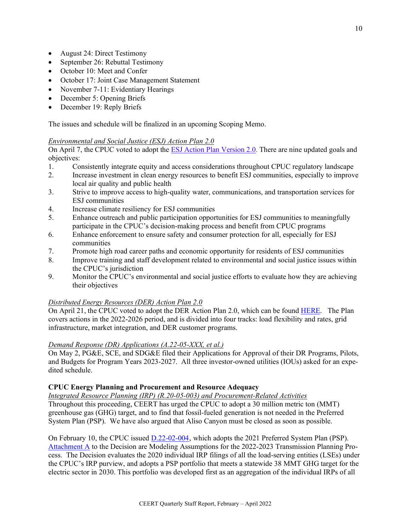- August 24: Direct Testimony
- September 26: Rebuttal Testimony
- October 10: Meet and Confer
- October 17: Joint Case Management Statement
- November 7-11: Evidentiary Hearings
- December 5: Opening Briefs
- December 19: Reply Briefs

The issues and schedule will be finalized in an upcoming Scoping Memo.

## *Environmental and Social Justice (ESJ) Action Plan 2.0*

On April 7, the CPUC voted to adopt th[e ESJ Action Plan Version 2.0.](https://cedmc.us5.list-manage.com/track/click?u=44b52bd5b1c697ba65b452dcc&id=a42b464471&e=94fa4f3c3b) There are nine updated goals and objectives:

- 1. Consistently integrate equity and access considerations throughout CPUC regulatory landscape
- 2. Increase investment in clean energy resources to benefit ESJ communities, especially to improve local air quality and public health
- 3. Strive to improve access to high-quality water, communications, and transportation services for ESJ communities
- 4. Increase climate resiliency for ESJ communities
- 5. Enhance outreach and public participation opportunities for ESJ communities to meaningfully participate in the CPUC's decision-making process and benefit from CPUC programs
- 6. Enhance enforcement to ensure safety and consumer protection for all, especially for ESJ communities
- 7. Promote high road career paths and economic opportunity for residents of ESJ communities
- 8. Improve training and staff development related to environmental and social justice issues within the CPUC's jurisdiction
- 9. Monitor the CPUC's environmental and social justice efforts to evaluate how they are achieving their objectives

# *Distributed Energy Resources (DER) Action Plan 2.0*

On April 21, the CPUC voted to adopt the DER Action Plan 2.0, which can be found [HERE.](https://www.cpuc.ca.gov/about-cpuc/divisions/energy-division/der-action-plan) The Plan covers actions in the 2022-2026 period, and is divided into four tracks: load flexibility and rates, grid infrastructure, market integration, and DER customer programs.

# *Demand Response (DR) Applications (A.22-05-XXX, et al.)*

On May 2, PG&E, SCE, and SDG&E filed their Applications for Approval of their DR Programs, Pilots, and Budgets for Program Years 2023-2027. All three investor-owned utilities (IOUs) asked for an expedited schedule.

## **CPUC Energy Planning and Procurement and Resource Adequacy**

### *Integrated Resource Planning (IRP) (R.20-05-003) and Procurement-Related Activities*

Throughout this proceeding, CEERT has urged the CPUC to adopt a 30 million metric ton (MMT) greenhouse gas (GHG) target, and to find that fossil-fueled generation is not needed in the Preferred System Plan (PSP). We have also argued that Aliso Canyon must be closed as soon as possible.

On February 10, the CPUC issued [D.22-02-004](https://docs.cpuc.ca.gov/PublishedDocs/Published/G000/M451/K412/451412947.PDF), which adopts the 2021 Preferred System Plan (PSP). [Attachment A](https://docs.cpuc.ca.gov/PublishedDocs/Published/G000/M451/K485/451485713.PDF) to the Decision are Modeling Assumptions for the 2022-2023 Transmission Planning Process. The Decision evaluates the 2020 individual IRP filings of all the load-serving entities (LSEs) under the CPUC's IRP purview, and adopts a PSP portfolio that meets a statewide 38 MMT GHG target for the electric sector in 2030. This portfolio was developed first as an aggregation of the individual IRPs of all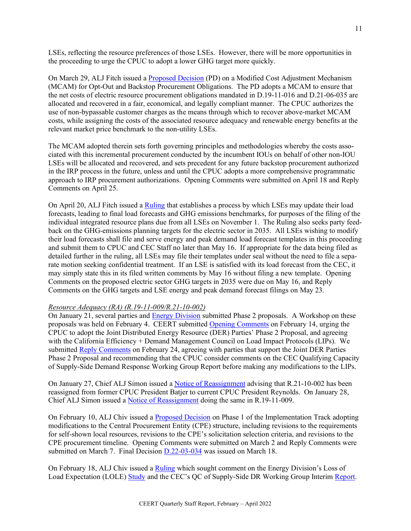LSEs, reflecting the resource preferences of those LSEs. However, there will be more opportunities in the proceeding to urge the CPUC to adopt a lower GHG target more quickly.

On March 29, ALJ Fitch issued a [Proposed Decision](https://docs.cpuc.ca.gov/PublishedDocs/Efile/G000/M463/K620/463620618.PDF) (PD) on a Modified Cost Adjustment Mechanism (MCAM) for Opt-Out and Backstop Procurement Obligations. The PD adopts a MCAM to ensure that the net costs of electric resource procurement obligations mandated in D.19-11-016 and D.21-06-035 are allocated and recovered in a fair, economical, and legally compliant manner. The CPUC authorizes the use of non-bypassable customer charges as the means through which to recover above-market MCAM costs, while assigning the costs of the associated resource adequacy and renewable energy benefits at the relevant market price benchmark to the non-utility LSEs.

The MCAM adopted therein sets forth governing principles and methodologies whereby the costs associated with this incremental procurement conducted by the incumbent IOUs on behalf of other non-IOU LSEs will be allocated and recovered, and sets precedent for any future backstop procurement authorized in the IRP process in the future, unless and until the CPUC adopts a more comprehensive programmatic approach to IRP procurement authorizations. Opening Comments were submitted on April 18 and Reply Comments on April 25.

On April 20, ALJ Fitch issued a [Ruling](https://docs.cpuc.ca.gov/PublishedDocs/Efile/G000/M469/K615/469615281.PDF) that establishes a process by which LSEs may update their load forecasts, leading to final load forecasts and GHG emissions benchmarks, for purposes of the filing of the individual integrated resource plans due from all LSEs on November 1. The Ruling also seeks party feedback on the GHG-emissions planning targets for the electric sector in 2035. All LSEs wishing to modify their load forecasts shall file and serve energy and peak demand load forecast templates in this proceeding and submit them to CPUC and CEC Staff no later than May 16. If appropriate for the data being filed as detailed further in the ruling, all LSEs may file their templates under seal without the need to file a separate motion seeking confidential treatment. If an LSE is satisfied with its load forecast from the CEC, it may simply state this in its filed written comments by May 16 without filing a new template. Opening Comments on the proposed electric sector GHG targets in 2035 were due on May 16, and Reply Comments on the GHG targets and LSE energy and peak demand forecast filings on May 23.

#### *Resource Adequacy (RA) (R.19-11-009/R.21-10-002)*

On January 21, several parties and [Energy Division](https://docs.cpuc.ca.gov/PublishedDocs/Efile/G000/M443/K642/443642668.PDF) submitted Phase 2 proposals. A Workshop on these proposals was held on February 4. CEERT submitted [Opening Comments](https://docs.cpuc.ca.gov/PublishedDocs/Efile/G000/M450/K123/450123647.PDF) on February 14, urging the CPUC to adopt the Joint Distributed Energy Resource (DER) Parties' Phase 2 Proposal, and agreeing with the California Efficiency + Demand Management Council on Load Impact Protocols (LIPs). We submitted [Reply Comments](https://docs.cpuc.ca.gov/PublishedDocs/Efile/G000/M453/K953/453953371.PDF) on February 24, agreeing with parties that support the Joint DER Parties Phase 2 Proposal and recommending that the CPUC consider comments on the CEC Qualifying Capacity of Supply-Side Demand Response Working Group Report before making any modifications to the LIPs.

On January 27, Chief ALJ Simon issued a [Notice of Reassignment](https://docs.cpuc.ca.gov/PublishedDocs/Efile/G000/M444/K123/444123839.PDF) advising that R.21-10-002 has been reassigned from former CPUC President Batjer to current CPUC President Reynolds. On January 28, Chief ALJ Simon issued a [Notice of Reassignment](https://docs.cpuc.ca.gov/PublishedDocs/Efile/G000/M445/K653/445653175.PDF) doing the same in R.19-11-009.

On February 10, ALJ Chiv issued a [Proposed Decision](https://docs.cpuc.ca.gov/PublishedDocs/Efile/G000/M449/K438/449438092.PDF) on Phase 1 of the Implementation Track adopting modifications to the Central Procurement Entity (CPE) structure, including revisions to the requirements for self-shown local resources, revisions to the CPE's solicitation selection criteria, and revisions to the CPE procurement timeline. Opening Comments were submitted on March 2 and Reply Comments were submitted on March 7. Final Decision [D.22-03-034](https://docs.cpuc.ca.gov/PublishedDocs/Published/G000/M460/K580/460580209.PDF) was issued on March 18.

On February 18, ALJ Chiv issued a [Ruling](https://docs.cpuc.ca.gov/PublishedDocs/Efile/G000/M452/K751/452751292.PDF) which sought comment on the Energy Division's Loss of Load Expectation (LOLE) [Study](https://docs.cpuc.ca.gov/PublishedDocs/Efile/G000/M452/K750/452750851.PDF) and the CEC's QC of Supply-Side DR Working Group Interim [Report.](https://docs.cpuc.ca.gov/PublishedDocs/Efile/G000/M452/K750/452750521.PDF)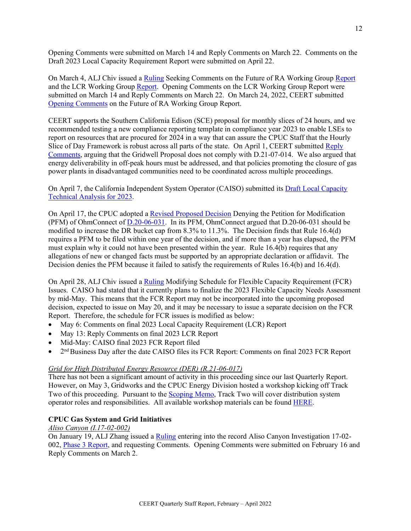Opening Comments were submitted on March 14 and Reply Comments on March 22. Comments on the Draft 2023 Local Capacity Requirement Report were submitted on April 22.

On March 4, ALJ Chiv issued a [Ruling](https://docs.cpuc.ca.gov/PublishedDocs/Efile/G000/M456/K544/456544155.PDF) Seeking Comments on the Future of RA Working Grou[p Report](https://docs.cpuc.ca.gov/PublishedDocs/Efile/G000/M456/K578/456578904.PDF) and the LCR Working Grou[p Report.](https://docs.cpuc.ca.gov/PublishedDocs/Efile/G000/M456/K555/456555080.PDF) Opening Comments on the LCR Working Group Report were submitted on March 14 and Reply Comments on March 22. On March 24, 2022, CEERT submitted [Opening Comments](https://docs.cpuc.ca.gov/PublishedDocs/Efile/G000/M462/K437/462437757.PDF) on the Future of RA Working Group Report.

CEERT supports the Southern California Edison (SCE) proposal for monthly slices of 24 hours, and we recommended testing a new compliance reporting template in compliance year 2023 to enable LSEs to report on resources that are procured for 2024 in a way that can assure the CPUC Staff that the Hourly Slice of Day Framework is robust across all parts of the state. On April 1, CEERT submitted Reply [Comments,](https://docs.cpuc.ca.gov/PublishedDocs/Efile/G000/M465/K578/465578370.PDF) arguing that the Gridwell Proposal does not comply with D.21-07-014. We also argued that energy deliverability in off-peak hours must be addressed, and that policies promoting the closure of gas power plants in disadvantaged communities need to be coordinated across multiple proceedings.

On April 7, the California Independent System Operator (CAISO) submitted its [Draft Local](https://docs.cpuc.ca.gov/PublishedDocs/Efile/G000/M466/K270/466270216.PDF) Capacity [Technical Analysis for 2023.](https://docs.cpuc.ca.gov/PublishedDocs/Efile/G000/M466/K270/466270216.PDF)

On April 17, the CPUC adopted [a Revised Proposed Decision](https://docs.cpuc.ca.gov/PublishedDocs/Published/G000/M469/K752/469752443.PDF) Denying the Petition for Modification (PFM) of OhmConnect of [D.20-06-031.](https://docs.cpuc.ca.gov/PublishedDocs/Published/G000/M342/K083/342083913.PDF) In its PFM, OhmConnect argued that D.20-06-031 should be modified to increase the DR bucket cap from 8.3% to 11.3%. The Decision finds that Rule 16.4(d) requires a PFM to be filed within one year of the decision, and if more than a year has elapsed, the PFM must explain why it could not have been presented within the year. Rule 16.4(b) requires that any allegations of new or changed facts must be supported by an appropriate declaration or affidavit. The Decision denies the PFM because it failed to satisfy the requirements of Rules 16.4(b) and 16.4(d).

On April 28, ALJ Chiv issued a [Ruling](https://docs.cpuc.ca.gov/PublishedDocs/Efile/G000/M472/K478/472478625.PDF) Modifying Schedule for Flexible Capacity Requirement (FCR) Issues. CAISO had stated that it currently plans to finalize the 2023 Flexible Capacity Needs Assessment by mid-May. This means that the FCR Report may not be incorporated into the upcoming proposed decision, expected to issue on May 20, and it may be necessary to issue a separate decision on the FCR Report. Therefore, the schedule for FCR issues is modified as below:

- May 6: Comments on final 2023 Local Capacity Requirement (LCR) Report
- May 13: Reply Comments on final 2023 LCR Report
- Mid-May: CAISO final 2023 FCR Report filed
- 2<sup>nd</sup> Business Day after the date CAISO files its FCR Report: Comments on final 2023 FCR Report

#### *Grid for High Distributed Energy Resource (DER) (R.21-06-017)*

There has not been a significant amount of activity in this proceeding since our last Quarterly Report. However, on May 3, Gridworks and the CPUC Energy Division hosted a workshop kicking off Track Two of this proceeding. Pursuant to the [Scoping Memo,](https://docs.cpuc.ca.gov/PublishedDocs/Efile/G000/M422/K949/422949772.PDF) Track Two will cover distribution system operator roles and responsibilities. All available workshop materials can be found [HERE.](https://gridworks.org/initiatives/california-future-grid-study/)

#### **CPUC Gas System and Grid Initiatives**

## *Aliso Canyon (I.17-02-002)*

On January 19, ALJ Zhang issued a [Ruling](https://docs.cpuc.ca.gov/PublishedDocs/Efile/G000/M442/K975/442975829.PDF) entering into the record Aliso Canyon Investigation 17-02- 002, [Phase 3 Report,](https://docs.cpuc.ca.gov/PublishedDocs/Efile/G000/M443/K009/443009051.PDF) and requesting Comments. Opening Comments were submitted on February 16 and Reply Comments on March 2.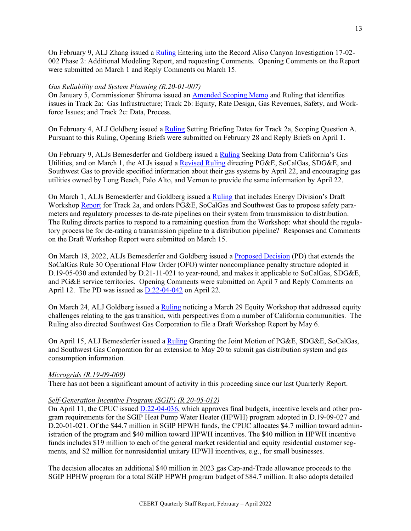On February 9, ALJ Zhang issued a [Ruling](https://docs.cpuc.ca.gov/PublishedDocs/Efile/G000/M449/K511/449511926.PDF) Entering into the Record Aliso Canyon Investigation 17-02- 002 Phase 2: Additional Modeling Report, and requesting Comments. Opening Comments on the Report were submitted on March 1 and Reply Comments on March 15.

#### *Gas Reliability and System Planning (R.20-01-007)*

On January 5, Commissioner Shiroma issued an [Amended Scoping Memo](https://docs.cpuc.ca.gov/PublishedDocs/Efile/G000/M436/K692/436692151.PDF) and Ruling that identifies issues in Track 2a: Gas Infrastructure; Track 2b: Equity, Rate Design, Gas Revenues, Safety, and Workforce Issues; and Track 2c: Data, Process.

On February 4, ALJ Goldberg issued a [Ruling](https://docs.cpuc.ca.gov/PublishedDocs/Efile/G000/M447/K256/447256423.PDF) Setting Briefing Dates for Track 2a, Scoping Question A. Pursuant to this Ruling, Opening Briefs were submitted on February 28 and Reply Briefs on April 1.

On February 9, ALJs Bemesderfer and Goldberg issued a [Ruling](https://docs.cpuc.ca.gov/PublishedDocs/Efile/G000/M449/K785/449785829.PDF) Seeking Data from California's Gas Utilities, and on March 1, the ALJs issued a [Revised Ruling](https://docs.cpuc.ca.gov/PublishedDocs/Efile/G000/M455/K736/455736679.PDF) directing PG&E, SoCalGas, SDG&E, and Southwest Gas to provide specified information about their gas systems by April 22, and encouraging gas utilities owned by Long Beach, Palo Alto, and Vernon to provide the same information by April 22.

On March 1, ALJs Bemesderfer and Goldberg issued a [Ruling](https://docs.cpuc.ca.gov/PublishedDocs/Efile/G000/M455/K677/455677069.PDF) that includes Energy Division's Draft Workshop [Report](https://docs.cpuc.ca.gov/PublishedDocs/Efile/G000/M454/K981/454981991.PDF) for Track 2a, and orders PG&E, SoCalGas and Southwest Gas to propose safety parameters and regulatory processes to de-rate pipelines on their system from transmission to distribution. The Ruling directs parties to respond to a remaining question from the Workshop: what should the regulatory process be for de-rating a transmission pipeline to a distribution pipeline? Responses and Comments on the Draft Workshop Report were submitted on March 15.

On March 18, 2022, ALJs Bemesderfer and Goldberg issued a [Proposed Decision](https://docs.cpuc.ca.gov/PublishedDocs/Efile/G000/M454/K981/454981991.PDF) (PD) that extends the SoCalGas Rule 30 Operational Flow Order (OFO) winter noncompliance penalty structure adopted in D.19-05-030 and extended by D.21-11-021 to year-round, and makes it applicable to SoCalGas, SDG&E, and PG&E service territories. Opening Comments were submitted on April 7 and Reply Comments on April 12. The PD was issued as [D.22-04-042](https://docs.cpuc.ca.gov/PublishedDocs/Published/G000/M470/K481/470481237.PDF) on April 22.

On March 24, ALJ Goldberg issued a [Ruling](https://docs.cpuc.ca.gov/PublishedDocs/Efile/G000/M462/K269/462269927.PDF) noticing a March 29 Equity Workshop that addressed equity challenges relating to the gas transition, with perspectives from a number of California communities. The Ruling also directed Southwest Gas Corporation to file a Draft Workshop Report by May 6.

On April 15, ALJ Bemesderfer issued a [Ruling](https://docs.cpuc.ca.gov/PublishedDocs/Efile/G000/M468/K500/468500090.PDF) Granting the Joint Motion of PG&E, SDG&E, SoCalGas, and Southwest Gas Corporation for an extension to May 20 to submit gas distribution system and gas consumption information.

#### *Microgrids (R.19-09-009)*

There has not been a significant amount of activity in this proceeding since our last Quarterly Report.

#### *Self-Generation Incentive Program (SGIP) (R.20-05-012)*

On April 11, the CPUC issued [D.22-04-036,](https://docs.cpuc.ca.gov/PublishedDocs/Published/G000/M467/K581/467581288.PDF) which approves final budgets, incentive levels and other program requirements for the SGIP Heat Pump Water Heater (HPWH) program adopted in D.19-09-027 and D.20-01-021. Of the \$44.7 million in SGIP HPWH funds, the CPUC allocates \$4.7 million toward administration of the program and \$40 million toward HPWH incentives. The \$40 million in HPWH incentive funds includes \$19 million to each of the general market residential and equity residential customer segments, and \$2 million for nonresidential unitary HPWH incentives, e.g., for small businesses.

The decision allocates an additional \$40 million in 2023 gas Cap-and-Trade allowance proceeds to the SGIP HPHW program for a total SGIP HPWH program budget of \$84.7 million. It also adopts detailed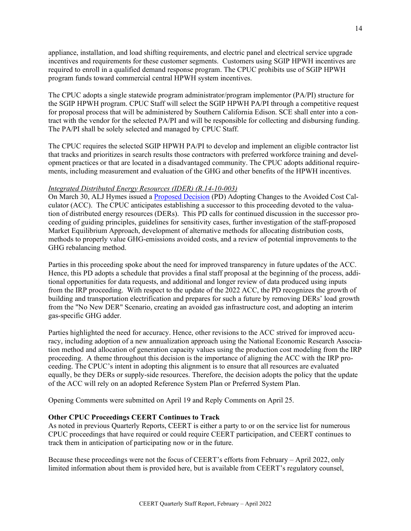appliance, installation, and load shifting requirements, and electric panel and electrical service upgrade incentives and requirements for these customer segments. Customers using SGIP HPWH incentives are required to enroll in a qualified demand response program. The CPUC prohibits use of SGIP HPWH program funds toward commercial central HPWH system incentives.

The CPUC adopts a single statewide program administrator/program implementor (PA/PI) structure for the SGIP HPWH program. CPUC Staff will select the SGIP HPWH PA/PI through a competitive request for proposal process that will be administered by Southern California Edison. SCE shall enter into a contract with the vendor for the selected PA/PI and will be responsible for collecting and disbursing funding. The PA/PI shall be solely selected and managed by CPUC Staff.

The CPUC requires the selected SGIP HPWH PA/PI to develop and implement an eligible contractor list that tracks and prioritizes in search results those contractors with preferred workforce training and development practices or that are located in a disadvantaged community. The CPUC adopts additional requirements, including measurement and evaluation of the GHG and other benefits of the HPWH incentives.

#### *Integrated Distributed Energy Resources (IDER) (R.14-10-003)*

On March 30, ALJ Hymes issued a [Proposed Decision](https://docs.cpuc.ca.gov/PublishedDocs/Efile/G000/M461/K182/461182382.PDF) (PD) Adopting Changes to the Avoided Cost Calculator (ACC). The CPUC anticipates establishing a successor to this proceeding devoted to the valuation of distributed energy resources (DERs). This PD calls for continued discussion in the successor proceeding of guiding principles, guidelines for sensitivity cases, further investigation of the staff-proposed Market Equilibrium Approach, development of alternative methods for allocating distribution costs, methods to properly value GHG-emissions avoided costs, and a review of potential improvements to the GHG rebalancing method.

Parties in this proceeding spoke about the need for improved transparency in future updates of the ACC. Hence, this PD adopts a schedule that provides a final staff proposal at the beginning of the process, additional opportunities for data requests, and additional and longer review of data produced using inputs from the IRP proceeding. With respect to the update of the 2022 ACC, the PD recognizes the growth of building and transportation electrification and prepares for such a future by removing DERs' load growth from the "No New DER" Scenario, creating an avoided gas infrastructure cost, and adopting an interim gas-specific GHG adder.

Parties highlighted the need for accuracy. Hence, other revisions to the ACC strived for improved accuracy, including adoption of a new annualization approach using the National Economic Research Association method and allocation of generation capacity values using the production cost modeling from the IRP proceeding. A theme throughout this decision is the importance of aligning the ACC with the IRP proceeding. The CPUC's intent in adopting this alignment is to ensure that all resources are evaluated equally, be they DERs or supply-side resources. Therefore, the decision adopts the policy that the update of the ACC will rely on an adopted Reference System Plan or Preferred System Plan.

Opening Comments were submitted on April 19 and Reply Comments on April 25.

## **Other CPUC Proceedings CEERT Continues to Track**

As noted in previous Quarterly Reports, CEERT is either a party to or on the service list for numerous CPUC proceedings that have required or could require CEERT participation, and CEERT continues to track them in anticipation of participating now or in the future.

Because these proceedings were not the focus of CEERT's efforts from February – April 2022, only limited information about them is provided here, but is available from CEERT's regulatory counsel,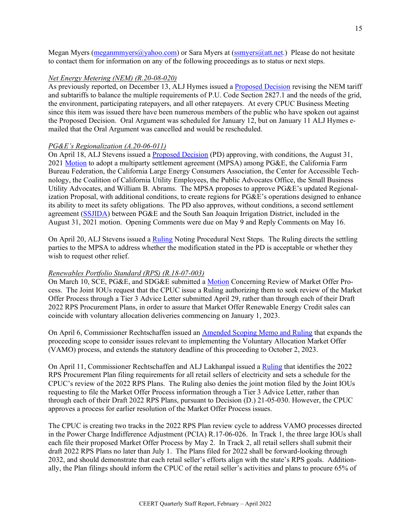Megan Myers [\(meganmmyers@yahoo.com\)](mailto:meganmmyers@yahoo.com) or Sara Myers at [\(ssmyers@att.net.](mailto:ssmyers@att.net)) Please do not hesitate to contact them for information on any of the following proceedings as to status or next steps.

## *Net Energy Metering (NEM) (R.20-08-020)*

As previously reported, on December 13, ALJ Hymes issued a [Proposed Decision](https://docs.cpuc.ca.gov/PublishedDocs/Efile/G000/M430/K903/430903088.PDF) revising the NEM tariff and subtariffs to balance the multiple requirements of P.U. Code Section 2827.1 and the needs of the grid, the environment, participating ratepayers, and all other ratepayers. At every CPUC Business Meeting since this item was issued there have been numerous members of the public who have spoken out against the Proposed Decision. Oral Argument was scheduled for January 12, but on January 11 ALJ Hymes emailed that the Oral Argument was cancelled and would be rescheduled.

#### *PG&E's Regionalization (A.20-06-011)*

On April 18, ALJ Stevens issued a **Proposed Decision** (PD) approving, with conditions, the August 31, 202[1 Motion](https://docs.cpuc.ca.gov/PublishedDocs/Efile/G000/M467/K827/467827209.PDF) to adopt a multiparty settlement agreement (MPSA) among PG&E, the California Farm Bureau Federation, the California Large Energy Consumers Association, the Center for Accessible Technology, the Coalition of California Utility Employees, the Public Advocates Office, the Small Business Utility Advocates, and William B. Abrams. The MPSA proposes to approve PG&E's updated Regionalization Proposal, with additional conditions, to create regions for PG&E's operations designed to enhance its ability to meet its safety obligations. The PD also approves, without conditions, a second settlement agreement [\(SSJIDA\)](https://docs.cpuc.ca.gov/PublishedDocs/Efile/G000/M469/K615/469615152.PDF) between PG&E and the South San Joaquin Irrigation District, included in the August 31, 2021 motion. Opening Comments were due on May 9 and Reply Comments on May 16.

On April 20, ALJ Stevens issued a [Ruling](https://docs.cpuc.ca.gov/PublishedDocs/Efile/G000/M469/K450/469450264.PDF) Noting Procedural Next Steps. The Ruling directs the settling parties to the MPSA to address whether the modification stated in the PD is acceptable or whether they wish to request other relief.

#### *Renewables Portfolio Standard (RPS) (R.18-07-003)*

On March 10, SCE, PG&E, and SDG&E submitted a [Motion](https://docs.cpuc.ca.gov/PublishedDocs/Efile/G000/M458/K308/458308063.PDF) Concerning Review of Market Offer Process. The Joint IOUs request that the CPUC issue a Ruling authorizing them to seek review of the Market Offer Process through a Tier 3 Advice Letter submitted April 29, rather than through each of their Draft 2022 RPS Procurement Plans, in order to assure that Market Offer Renewable Energy Credit sales can coincide with voluntary allocation deliveries commencing on January 1, 2023.

On April 6, Commissioner Rechtschaffen issued an [Amended Scoping Memo and Ruling](https://docs.cpuc.ca.gov/PublishedDocs/Efile/G000/M465/K562/465562463.PDF) that expands the proceeding scope to consider issues relevant to implementing the Voluntary Allocation Market Offer (VAMO) process, and extends the statutory deadline of this proceeding to October 2, 2023.

On April 11, Commissioner Rechtschaffen and ALJ Lakhanpal issued a [Ruling](https://docs.cpuc.ca.gov/PublishedDocs/Efile/G000/M467/K556/467556099.PDF) that identifies the 2022 RPS Procurement Plan filing requirements for all retail sellers of electricity and sets a schedule for the CPUC's review of the 2022 RPS Plans. The Ruling also denies the joint motion filed by the Joint IOUs requesting to file the Market Offer Process information through a Tier 3 Advice Letter, rather than through each of their Draft 2022 RPS Plans, pursuant to Decision (D.) 21-05-030. However, the CPUC approves a process for earlier resolution of the Market Offer Process issues.

The CPUC is creating two tracks in the 2022 RPS Plan review cycle to address VAMO processes directed in the Power Charge Indifference Adjustment (PCIA) R.17-06-026. In Track 1, the three large IOUs shall each file their proposed Market Offer Process by May 2. In Track 2, all retail sellers shall submit their draft 2022 RPS Plans no later than July 1. The Plans filed for 2022 shall be forward-looking through 2032, and should demonstrate that each retail seller's efforts align with the state's RPS goals. Additionally, the Plan filings should inform the CPUC of the retail seller's activities and plans to procure 65% of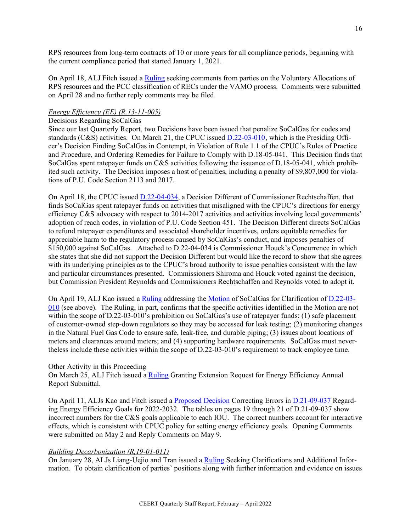RPS resources from long-term contracts of 10 or more years for all compliance periods, beginning with the current compliance period that started January 1, 2021.

On April 18, ALJ Fitch issued a [Ruling](https://docs.cpuc.ca.gov/PublishedDocs/Efile/G000/M467/K541/467541544.PDF) seeking comments from parties on the Voluntary Allocations of RPS resources and the PCC classification of RECs under the VAMO process. Comments were submitted on April 28 and no further reply comments may be filed.

### *Energy Efficiency (EE) (R.13-11-005)*

#### Decisions Regarding SoCalGas

Since our last Quarterly Report, two Decisions have been issued that penalize SoCalGas for codes and standards (C&S) activities. On March 21, the CPUC issued [D.22-03-010](https://docs.cpuc.ca.gov/PublishedDocs/Published/G000/M460/K615/460615446.PDF), which is the Presiding Officer's Decision Finding SoCalGas in Contempt, in Violation of Rule 1.1 of the CPUC's Rules of Practice and Procedure, and Ordering Remedies for Failure to Comply with D.18-05-041. This Decision finds that SoCalGas spent ratepayer funds on C&S activities following the issuance of D.18-05-041, which prohibited such activity. The Decision imposes a host of penalties, including a penalty of \$9,807,000 for violations of P.U. Code Section 2113 and 2017.

On April 18, the CPUC issued [D.22-04-034,](https://docs.cpuc.ca.gov/PublishedDocs/Published/G000/M468/K751/468751269.PDF) a Decision Different of Commissioner Rechtschaffen, that finds SoCalGas spent ratepayer funds on activities that misaligned with the CPUC's directions for energy efficiency C&S advocacy with respect to 2014-2017 activities and activities involving local governments' adoption of reach codes, in violation of P.U. Code Section 451. The Decision Different directs SoCalGas to refund ratepayer expenditures and associated shareholder incentives, orders equitable remedies for appreciable harm to the regulatory process caused by SoCalGas's conduct, and imposes penalties of \$150,000 against SoCalGas. Attached to D.22-04-034 is Commissioner Houck's Concurrence in which she states that she did not support the Decision Different but would like the record to show that she agrees with its underlying principles as to the CPUC's broad authority to issue penalties consistent with the law and particular circumstances presented. Commissioners Shiroma and Houck voted against the decision, but Commission President Reynolds and Commissioners Rechtschaffen and Reynolds voted to adopt it.

On April 19, ALJ Kao issued a [Ruling](https://docs.cpuc.ca.gov/PublishedDocs/Efile/G000/M469/K615/469615267.PDF) addressing the [Motion](https://docs.cpuc.ca.gov/PublishedDocs/Efile/G000/M456/K594/456594216.PDF) of SoCalGas for Clarification o[f D.22-03-](https://docs.cpuc.ca.gov/PublishedDocs/Published/G000/M460/K615/460615446.PDF) [010](https://docs.cpuc.ca.gov/PublishedDocs/Published/G000/M460/K615/460615446.PDF) (see above). The Ruling, in part, confirms that the specific activities identified in the Motion are not within the scope of D.22-03-010's prohibition on SoCalGas's use of ratepayer funds: (1) safe placement of customer-owned step-down regulators so they may be accessed for leak testing; (2) monitoring changes in the Natural Fuel Gas Code to ensure safe, leak-free, and durable piping; (3) issues about locations of meters and clearances around meters; and (4) supporting hardware requirements. SoCalGas must nevertheless include these activities within the scope of D.22-03-010's requirement to track employee time.

#### Other Activity in this Proceeding

On March 25, ALJ Fitch issued a [Ruling](https://docs.cpuc.ca.gov/PublishedDocs/Efile/G000/M463/K619/463619816.PDF) Granting Extension Request for Energy Efficiency Annual Report Submittal.

On April 11, ALJs Kao and Fitch issued a [Proposed Decision](https://docs.cpuc.ca.gov/PublishedDocs/Efile/G000/M466/K270/466270253.PDF) Correcting Errors in [D.21-09-037](https://docs.cpuc.ca.gov/PublishedDocs/Published/G000/M411/K177/411177185.PDF) Regarding Energy Efficiency Goals for 2022-2032. The tables on pages 19 through 21 of D.21-09-037 show incorrect numbers for the C&S goals applicable to each IOU. The correct numbers account for interactive effects, which is consistent with CPUC policy for setting energy efficiency goals. Opening Comments were submitted on May 2 and Reply Comments on May 9.

# *Building Decarbonization (R,19-01-011)*

On January 28, ALJs Liang-Uejio and Tran issued a [Ruling](https://docs.cpuc.ca.gov/PublishedDocs/Efile/G000/M445/K638/445638734.PDF) Seeking Clarifications and Additional Information. To obtain clarification of parties' positions along with further information and evidence on issues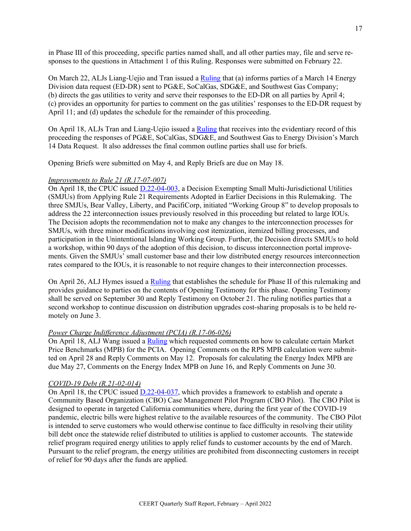in Phase III of this proceeding, specific parties named shall, and all other parties may, file and serve responses to the questions in Attachment 1 of this Ruling. Responses were submitted on February 22.

On March 22, ALJs Liang-Uejio and Tran issued [a Ruling](https://docs.cpuc.ca.gov/PublishedDocs/Efile/G000/M461/K182/461182382.PDF) that (a) informs parties of a March 14 Energy Division data request (ED-DR) sent to PG&E, SoCalGas, SDG&E, and Southwest Gas Company; (b) directs the gas utilities to verity and serve their responses to the ED-DR on all parties by April 4; (c) provides an opportunity for parties to comment on the gas utilities' responses to the ED-DR request by April 11; and (d) updates the schedule for the remainder of this proceeding.

On April 18, ALJs Tran and Liang-Uejio issued a [Ruling](https://docs.cpuc.ca.gov/PublishedDocs/Efile/G000/M469/K577/469577261.PDF) that receives into the evidentiary record of this proceeding the responses of PG&E, SoCalGas, SDG&E, and Southwest Gas to Energy Division's March 14 Data Request. It also addresses the final common outline parties shall use for briefs.

Opening Briefs were submitted on May 4, and Reply Briefs are due on May 18.

### *Improvements to Rule 21 (R.17-07-007)*

On April 18, the CPUC issued [D.22-04-003,](https://docs.cpuc.ca.gov/PublishedDocs/Published/G000/M468/K725/468725478.PDF) a Decision Exempting Small Multi-Jurisdictional Utilities (SMJUs) from Applying Rule 21 Requirements Adopted in Earlier Decisions in this Rulemaking. The three SMJUs, Bear Valley, Liberty, and PacifiCorp, initiated "Working Group 8" to develop proposals to address the 22 interconnection issues previously resolved in this proceeding but related to large IOUs. The Decision adopts the recommendation not to make any changes to the interconnection processes for SMJUs, with three minor modifications involving cost itemization, itemized billing processes, and participation in the Unintentional Islanding Working Group. Further, the Decision directs SMJUs to hold a workshop, within 90 days of the adoption of this decision, to discuss interconnection portal improvements. Given the SMJUs' small customer base and their low distributed energy resources interconnection rates compared to the IOUs, it is reasonable to not require changes to their interconnection processes.

On April 26, ALJ Hymes issued a [Ruling](https://docs.cpuc.ca.gov/PublishedDocs/Efile/G000/M471/K484/471484920.PDF) that establishes the schedule for Phase II of this rulemaking and provides guidance to parties on the contents of Opening Testimony for this phase. Opening Testimony shall be served on September 30 and Reply Testimony on October 21. The ruling notifies parties that a second workshop to continue discussion on distribution upgrades cost-sharing proposals is to be held remotely on June 3.

#### *Power Charge Indifference Adjustment (PCIA) (R.17-06-026)*

On April 18, ALJ Wang issued a [Ruling](https://docs.cpuc.ca.gov/PublishedDocs/Efile/G000/M467/K827/467827206.PDF) which requested comments on how to calculate certain Market Price Benchmarks (MPB) for the PCIA. Opening Comments on the RPS MPB calculation were submitted on April 28 and Reply Comments on May 12. Proposals for calculating the Energy Index MPB are due May 27, Comments on the Energy Index MPB on June 16, and Reply Comments on June 30.

#### *COVID-19 Debt (R.21-02-014)*

On April 18, the CPUC issued [D.22-04-037,](https://docs.cpuc.ca.gov/PublishedDocs/Published/G000/M468/K801/468801115.PDF) which provides a framework to establish and operate a Community Based Organization (CBO) Case Management Pilot Program (CBO Pilot). The CBO Pilot is designed to operate in targeted California communities where, during the first year of the COVID-19 pandemic, electric bills were highest relative to the available resources of the community. The CBO Pilot is intended to serve customers who would otherwise continue to face difficulty in resolving their utility bill debt once the statewide relief distributed to utilities is applied to customer accounts. The statewide relief program required energy utilities to apply relief funds to customer accounts by the end of March. Pursuant to the relief program, the energy utilities are prohibited from disconnecting customers in receipt of relief for 90 days after the funds are applied.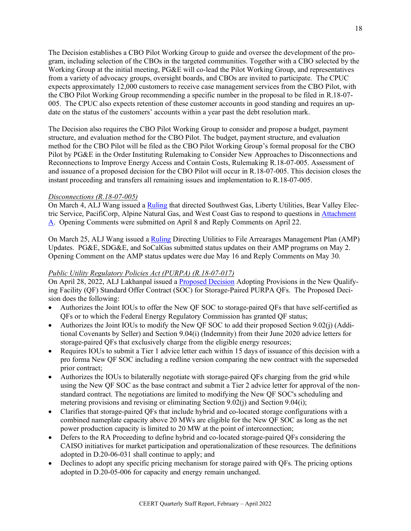The Decision establishes a CBO Pilot Working Group to guide and oversee the development of the program, including selection of the CBOs in the targeted communities. Together with a CBO selected by the Working Group at the initial meeting, PG&E will co-lead the Pilot Working Group, and representatives from a variety of advocacy groups, oversight boards, and CBOs are invited to participate. The CPUC expects approximately 12,000 customers to receive case management services from the CBO Pilot, with the CBO Pilot Working Group recommending a specific number in the proposal to be filed in R.18-07- 005. The CPUC also expects retention of these customer accounts in good standing and requires an update on the status of the customers' accounts within a year past the debt resolution mark.

The Decision also requires the CBO Pilot Working Group to consider and propose a budget, payment structure, and evaluation method for the CBO Pilot. The budget, payment structure, and evaluation method for the CBO Pilot will be filed as the CBO Pilot Working Group's formal proposal for the CBO Pilot by PG&E in the Order Instituting Rulemaking to Consider New Approaches to Disconnections and Reconnections to Improve Energy Access and Contain Costs, Rulemaking R.18-07-005. Assessment of and issuance of a proposed decision for the CBO Pilot will occur in R.18-07-005. This decision closes the instant proceeding and transfers all remaining issues and implementation to R.18-07-005.

## *Disconnections (R.18-07-005)*

On March 4, ALJ Wang issued a [Ruling](https://docs.cpuc.ca.gov/PublishedDocs/Efile/G000/M456/K555/456555116.PDF) that directed Southwest Gas, Liberty Utilities, Bear Valley Electric Service, PacifiCorp, Alpine Natural Gas, and West Coast Gas to respond to questions in [Attachment](https://docs.cpuc.ca.gov/PublishedDocs/Efile/G000/M456/K578/456578984.PDF)  [A.](https://docs.cpuc.ca.gov/PublishedDocs/Efile/G000/M456/K578/456578984.PDF) Opening Comments were submitted on April 8 and Reply Comments on April 22.

On March 25, ALJ Wang issued a [Ruling](https://docs.cpuc.ca.gov/PublishedDocs/Efile/G000/M462/K250/462250131.PDF) Directing Utilities to File Arrearages Management Plan (AMP) Updates. PG&E, SDG&E, and SoCalGas submitted status updates on their AMP programs on May 2. Opening Comment on the AMP status updates were due May 16 and Reply Comments on May 30.

#### *Public Utility Regulatory Policies Act (PURPA) (R.18-07-017)*

On April 28, 2022, ALJ Lakhanpal issued a [Proposed Decision](https://docs.cpuc.ca.gov/PublishedDocs/Efile/G000/M471/K485/471485950.PDF) Adopting Provisions in the New Qualifying Facility (QF) Standard Offer Contract (SOC) for Storage-Paired PURPA QFs. The Proposed Decision does the following:

- Authorizes the Joint IOUs to offer the New QF SOC to storage-paired QFs that have self-certified as QFs or to which the Federal Energy Regulatory Commission has granted QF status;
- Authorizes the Joint IOUs to modify the New QF SOC to add their proposed Section 9.02(j) (Additional Covenants by Seller) and Section 9.04(i) (Indemnity) from their June 2020 advice letters for storage-paired QFs that exclusively charge from the eligible energy resources;
- Requires IOUs to submit a Tier 1 advice letter each within 15 days of issuance of this decision with a pro forma New QF SOC including a redline version comparing the new contract with the superseded prior contract;
- Authorizes the IOUs to bilaterally negotiate with storage-paired QFs charging from the grid while using the New QF SOC as the base contract and submit a Tier 2 advice letter for approval of the nonstandard contract. The negotiations are limited to modifying the New QF SOC's scheduling and metering provisions and revising or eliminating Section 9.02(j) and Section 9.04(i);
- Clarifies that storage-paired QFs that include hybrid and co-located storage configurations with a combined nameplate capacity above 20 MWs are eligible for the New QF SOC as long as the net power production capacity is limited to 20 MW at the point of interconnection;
- Defers to the RA Proceeding to define hybrid and co-located storage-paired QFs considering the CAISO initiatives for market participation and operationalization of these resources. The definitions adopted in D.20-06-031 shall continue to apply; and
- Declines to adopt any specific pricing mechanism for storage paired with QFs. The pricing options adopted in D.20-05-006 for capacity and energy remain unchanged.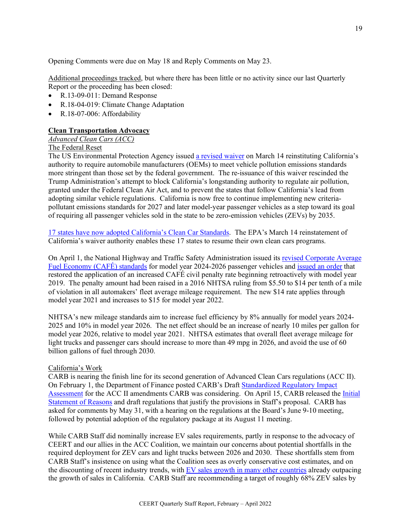Opening Comments were due on May 18 and Reply Comments on May 23.

Additional proceedings tracked, but where there has been little or no activity since our last Quarterly Report or the proceeding has been closed:

- R.13-09-011: Demand Response
- R.18-04-019: Climate Change Adaptation
- R.18-07-006: Affordability

# **Clean Transportation Advocacy**

# *Advanced Clean Cars (ACC)*

# The Federal Reset

The US Environmental Protection Agency issued [a revised waiver](https://www.federalregister.gov/documents/2022/03/14/2022-05227/california-state-motor-vehicle-pollution-control-standards-advanced-clean-car-program) on March 14 reinstituting California's authority to require automobile manufacturers (OEMs) to meet vehicle pollution emissions standards more stringent than those set by the federal government. The re-issuance of this waiver rescinded the Trump Administration's attempt to block California's longstanding authority to regulate air pollution, granted under the Federal Clean Air Act, and to prevent the states that follow California's lead from adopting similar vehicle regulations. California is now free to continue implementing new criteriapollutant emissions standards for 2027 and later model-year passenger vehicles as a step toward its goal of requiring all passenger vehicles sold in the state to be zero-emission vehicles (ZEVs) by 2035.

[17 states have now adopted California's Clean Car Standards.](https://ww2.arb.ca.gov/sites/default/files/2022-03/%C2%A7177%20States%20%283-17-2022%29%20%28NADA%20sales%29.pdf) The EPA's March 14 reinstatement of California's waiver authority enables these 17 states to resume their own clean cars programs.

On April 1, the National Highway and Traffic Safety Administration issued its [revised Corporate Average](https://www.nhtsa.gov/laws-regulations/corporate-average-fuel-economy)  [Fuel Economy \(CAFÉ\) standards](https://www.nhtsa.gov/laws-regulations/corporate-average-fuel-economy) for model year 2024-2026 passenger vehicles an[d issued an order](https://www.govinfo.gov/content/pkg/FR-2022-04-01/pdf/2022-06648.pdf) that restored the application of an increased CAFÉ civil penalty rate beginning retroactively with model year 2019. The penalty amount had been raised in a 2016 NHTSA ruling from \$5.50 to \$14 per tenth of a mile of violation in all automakers' fleet average mileage requirement. The new \$14 rate applies through model year 2021 and increases to \$15 for model year 2022.

NHTSA's new mileage standards aim to increase fuel efficiency by 8% annually for model years 2024- 2025 and 10% in model year 2026. The net effect should be an increase of nearly 10 miles per gallon for model year 2026, relative to model year 2021. NHTSA estimates that overall fleet average mileage for light trucks and passenger cars should increase to more than 49 mpg in 2026, and avoid the use of 60 billion gallons of fuel through 2030.

# California's Work

CARB is nearing the finish line for its second generation of Advanced Clean Cars regulations (ACC II). On February 1, the Department of Finance posted CARB's Draft [Standardized Regulatory Impact](https://dof.ca.gov/forecasting/economics/major-regulations/major-regulations-table/)  [Assessment](https://dof.ca.gov/forecasting/economics/major-regulations/major-regulations-table/) for the ACC II amendments CARB was considering. On April 15, CARB released the [Initial](https://ww2.arb.ca.gov/rulemaking/2022/advanced-clean-cars-ii)  [Statement of Reasons](https://ww2.arb.ca.gov/rulemaking/2022/advanced-clean-cars-ii) and draft regulations that justify the provisions in Staff's proposal. CARB has asked for comments by May 31, with a hearing on the regulations at the Board's June 9-10 meeting, followed by potential adoption of the regulatory package at its August 11 meeting.

While CARB Staff did nominally increase EV sales requirements, partly in response to the advocacy of CEERT and our allies in the ACC Coalition, we maintain our concerns about potential shortfalls in the required deployment for ZEV cars and light trucks between 2026 and 2030. These shortfalls stem from CARB Staff's insistence on using what the Coalition sees as overly conservative cost estimates, and on the discounting of recent industry trends, with [EV sales growth in many other countries](https://www.iea.org/commentaries/electric-cars-fend-off-supply-challenges-to-more-than-double-global-sales) already outpacing the growth of sales in California. CARB Staff are recommending a target of roughly 68% ZEV sales by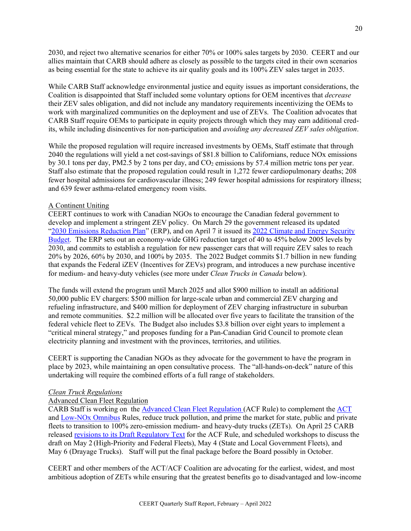2030, and reject two alternative scenarios for either 70% or 100% sales targets by 2030. CEERT and our allies maintain that CARB should adhere as closely as possible to the targets cited in their own scenarios as being essential for the state to achieve its air quality goals and its 100% ZEV sales target in 2035.

While CARB Staff acknowledge environmental justice and equity issues as important considerations, the Coalition is disappointed that Staff included some voluntary options for OEM incentives that *decrease* their ZEV sales obligation, and did not include any mandatory requirements incentivizing the OEMs to work with marginalized communities on the deployment and use of ZEVs. The Coalition advocates that CARB Staff require OEMs to participate in equity projects through which they may earn additional credits, while including disincentives for non-participation and *avoiding any decreased ZEV sales obligation*.

While the proposed regulation will require increased investments by OEMs, Staff estimate that through 2040 the regulations will yield a net cost-savings of \$81.8 billion to Californians, reduce NOx emissions by 30.1 tons per day, PM2.5 by 2 tons per day, and  $CO<sub>2</sub>$  emissions by 57.4 million metric tons per year. Staff also estimate that the proposed regulation could result in 1,272 fewer cardiopulmonary deaths; 208 fewer hospital admissions for cardiovascular illness; 249 fewer hospital admissions for respiratory illness; and 639 fewer asthma-related emergency room visits.

#### A Continent Uniting

CEERT continues to work with Canadian NGOs to encourage the Canadian federal government to develop and implement a stringent ZEV policy. On March 29 the government released its updated ["2030 Emissions Reduction Plan"](https://www.canada.ca/en/environment-climate-change/news/2022/03/2030-emissions-reduction-plan--canadas-next-steps-for-clean-air-and-a-strong-economy.html) (ERP), and on April 7 it issued its 2022 Climate and Energy Security [Budget.](https://www.budget.gc.ca/2022/home-accueil-en.html) The ERP sets out an economy-wide GHG reduction target of 40 to 45% below 2005 levels by 2030, and commits to establish a regulation for new passenger cars that will require ZEV sales to reach 20% by 2026, 60% by 2030, and 100% by 2035. The 2022 Budget commits \$1.7 billion in new funding that expands the Federal iZEV (Incentives for ZEVs) program, and introduces a new purchase incentive for medium- and heavy-duty vehicles (see more under *Clean Trucks in Canada* below).

The funds will extend the program until March 2025 and allot \$900 million to install an additional 50,000 public EV chargers: \$500 million for large-scale urban and commercial ZEV charging and refueling infrastructure, and \$400 million for deployment of ZEV charging infrastructure in suburban and remote communities. \$2.2 million will be allocated over five years to facilitate the transition of the federal vehicle fleet to ZEVs. The Budget also includes \$3.8 billion over eight years to implement a "critical mineral strategy," and proposes funding for a Pan-Canadian Grid Council to promote clean electricity planning and investment with the provinces, territories, and utilities.

CEERT is supporting the Canadian NGOs as they advocate for the government to have the program in place by 2023, while maintaining an open consultative process. The "all-hands-on-deck" nature of this undertaking will require the combined efforts of a full range of stakeholders.

#### *Clean Truck Regulations*

# Advanced Clean Fleet Regulation

CARB Staff is working on the [Advanced Clean Fleet Regulation \(](https://ww2.arb.ca.gov/our-work/programs/advanced-clean-fleets)ACF Rule) to complement the [ACT](https://ww2.arb.ca.gov/our-work/programs/advanced-clean-trucks)  and [Low-NOx Omnibus](https://ww2.arb.ca.gov/rulemaking/2020/hdomnibuslownox) Rules, reduce truck pollution, and prime the market for state, public and private fleets to transition to 100% zero-emission medium- and heavy-duty trucks (ZETs). On April 25 CARB released [revisions to its Draft Regulatory Text](https://ww2.arb.ca.gov/our-work/programs/advanced-clean-fleets/advanced-clean-fleets-draft-regulation-and-comments) for the ACF Rule, and scheduled workshops to discuss the draft on May 2 (High-Priority and Federal Fleets), May 4 (State and Local Government Fleets), and May 6 (Drayage Trucks). Staff will put the final package before the Board possibly in October.

CEERT and other members of the ACT/ACF Coalition are advocating for the earliest, widest, and most ambitious adoption of ZETs while ensuring that the greatest benefits go to disadvantaged and low-income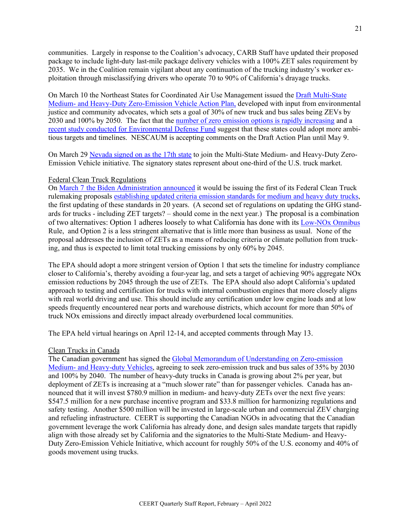communities. Largely in response to the Coalition's advocacy, CARB Staff have updated their proposed package to include light-duty last-mile package delivery vehicles with a 100% ZET sales requirement by 2035. We in the Coalition remain vigilant about any continuation of the trucking industry's worker exploitation through misclassifying drivers who operate 70 to 90% of California's drayage trucks.

On March 10 the Northeast States for Coordinated Air Use Management issued th[e Draft Multi-State](https://www.nescaum.org/documents/announcement-mhd-zev-ap-public-draft.pdf/)  [Medium- and Heavy-Duty Zero-Emission Vehicle Action Plan,](https://www.nescaum.org/documents/announcement-mhd-zev-ap-public-draft.pdf/) developed with input from environmental justice and community advocates, which sets a goal of 30% of new truck and bus sales being ZEVs by 2030 and 100% by 2050. The fact that the [number of zero emission options is rapidly](https://calstart.org/wp-content/uploads/2022/02/ZIO-ZETs-Report_Updated-Final-II.pdf) increasing and a [recent study conducted for Environmental Defense Fund](https://www.edf.org/media/new-study-finds-rapidly-declining-costs-zero-emitting-freight-trucks-and-buses?_gl=1*11w4xlb*_ga*MTI5OTY2NjYyMS4xNjEzNTg3MjM0*_ga_2B3856Y9QW*MTY1MTcwMTgwOS4yLjEuMTY1MTcwMTgxMi41Nw..*_ga_WE3BPRQKW0*MTY1MTcwMTgwOS4yLjEuMTY1MTcwMTgxMi41Nw..*_ga_Q5CTTQBJD8*MTY1MTcwMTgwOS4yLjEuMTY1MTcwMTgxMi41Nw..) suggest that these states could adopt more ambitious targets and timelines. NESCAUM is accepting comments on the Draft Action Plan until May 9.

On March 29 [Nevada signed on as the 17th state](https://www.nescaum.org/documents/nescaum-welcomes-nevada-s-participation-in-the-multi-state-zero-emission-electric-trucks-initiative/) to join the Multi-State Medium- and Heavy-Duty Zero-Emission Vehicle initiative. The signatory states represent about one-third of the U.S. truck market.

#### Federal Clean Truck Regulations

On [March 7 the Biden Administration announced](https://www.epa.gov/newsreleases/epa-proposes-stronger-standards-heavy-duty-vehicles-promote-clean-air-protect) it would be issuing the first of its Federal Clean Truck rulemaking proposals [establishing updated criteria emission standards for medium and heavy duty trucks,](https://www.epa.gov/regulations-emissions-vehicles-and-engines/proposed-rule-and-related-materials-control-air-1) the first updating of these standards in 20 years. (A second set of regulations on updating the GHG standards for trucks - including ZET targets? – should come in the next year.) The proposal is a combination of two alternatives: Option 1 adheres loosely to what California has done with its [Low-NOx](https://ww2.arb.ca.gov/rulemaking/2020/hdomnibuslownox) Omnibus Rule, and Option 2 is a less stringent alternative that is little more than business as usual. None of the proposal addresses the inclusion of ZETs as a means of reducing criteria or climate pollution from trucking, and thus is expected to limit total trucking emissions by only 60% by 2045.

The EPA should adopt a more stringent version of Option 1 that sets the timeline for industry compliance closer to California's, thereby avoiding a four-year lag, and sets a target of achieving 90% aggregate NOx emission reductions by 2045 through the use of ZETs. The EPA should also adopt California's updated approach to testing and certification for trucks with internal combustion engines that more closely aligns with real world driving and use. This should include any certification under low engine loads and at low speeds frequently encountered near ports and warehouse districts, which account for more than 50% of truck NOx emissions and directly impact already overburdened local communities.

The EPA held virtual hearings on April 12-14, and accepted comments through May 13.

#### Clean Trucks in Canada

The Canadian government has signed the [Global Memorandum of Understanding on Zero-emission](https://globaldrivetozero.org/mou-nations/)  [Medium- and Heavy-duty Vehicles,](https://globaldrivetozero.org/mou-nations/) agreeing to seek zero-emission truck and bus sales of 35% by 2030 and 100% by 2040. The number of heavy-duty trucks in Canada is growing about 2% per year, but deployment of ZETs is increasing at a "much slower rate" than for passenger vehicles. Canada has announced that it will invest \$780.9 million in medium- and heavy-duty ZETs over the next five years: \$547.5 million for a new purchase incentive program and \$33.8 million for harmonizing regulations and safety testing. Another \$500 million will be invested in large-scale urban and commercial ZEV charging and refueling infrastructure. CEERT is supporting the Canadian NGOs in advocating that the Canadian government leverage the work California has already done, and design sales mandate targets that rapidly align with those already set by California and the signatories to the Multi-State Medium- and Heavy-Duty Zero-Emission Vehicle Initiative, which account for roughly 50% of the U.S. economy and 40% of goods movement using trucks.